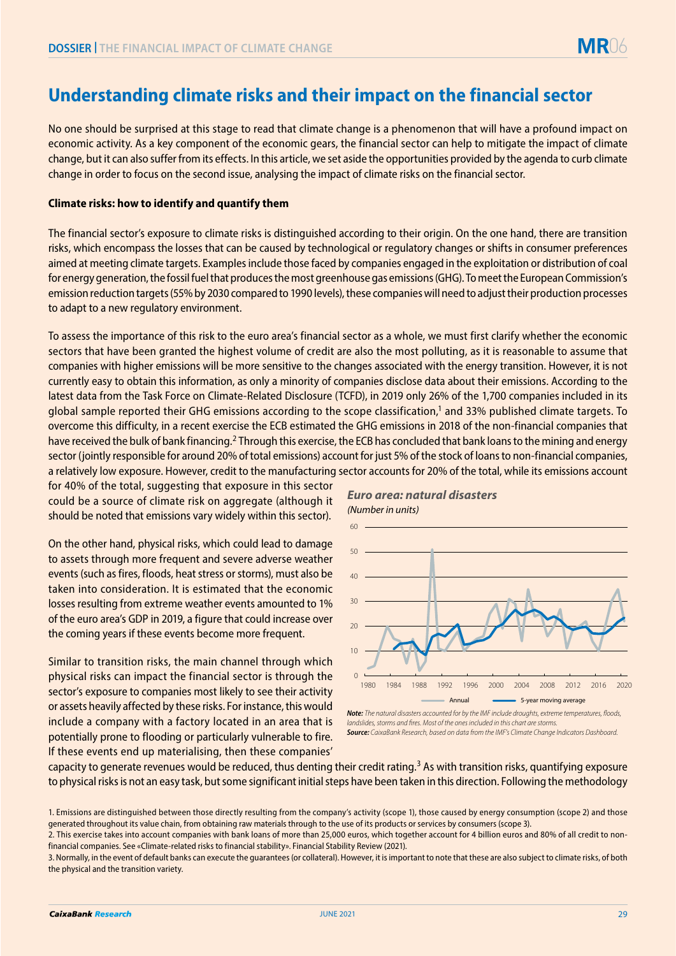## **Understanding climate risks and their impact on the financial sector**

No one should be surprised at this stage to read that climate change is a phenomenon that will have a profound impact on economic activity. As a key component of the economic gears, the financial sector can help to mitigate the impact of climate change, but it can also suffer from its effects. In this article, we set aside the opportunities provided by the agenda to curb climate change in order to focus on the second issue, analysing the impact of climate risks on the financial sector.

## **Climate risks: how to identify and quantify them**

The financial sector's exposure to climate risks is distinguished according to their origin. On the one hand, there are transition risks, which encompass the losses that can be caused by technological or regulatory changes or shifts in consumer preferences aimed at meeting climate targets. Examples include those faced by companies engaged in the exploitation or distribution of coal for energy generation, the fossil fuel that produces the most greenhouse gas emissions (GHG). To meet the European Commission's emission reduction targets (55% by 2030 compared to 1990 levels), these companies will need to adjust their production processes to adapt to a new regulatory environment.

To assess the importance of this risk to the euro area's financial sector as a whole, we must first clarify whether the economic sectors that have been granted the highest volume of credit are also the most polluting, as it is reasonable to assume that companies with higher emissions will be more sensitive to the changes associated with the energy transition. However, it is not currently easy to obtain this information, as only a minority of companies disclose data about their emissions. According to the latest data from the Task Force on Climate-Related Disclosure (TCFD), in 2019 only 26% of the 1,700 companies included in its global sample reported their GHG emissions according to the scope classification,1 and 33% published climate targets. To overcome this difficulty, in a recent exercise the ECB estimated the GHG emissions in 2018 of the non-financial companies that have received the bulk of bank financing.<sup>2</sup> Through this exercise, the ECB has concluded that bank loans to the mining and energy sector (jointly responsible for around 20% of total emissions) account for just 5% of the stock of loans to non-financial companies, a relatively low exposure. However, credit to the manufacturing sector accounts for 20% of the total, while its emissions account

for 40% of the total, suggesting that exposure in this sector could be a source of climate risk on aggregate (although it should be noted that emissions vary widely within this sector).

On the other hand, physical risks, which could lead to damage to assets through more frequent and severe adverse weather events (such as fires, floods, heat stress or storms), must also be taken into consideration. It is estimated that the economic losses resulting from extreme weather events amounted to 1% of the euro area's GDP in 2019, a figure that could increase over the coming years if these events become more frequent.

Similar to transition risks, the main channel through which physical risks can impact the financial sector is through the sector's exposure to companies most likely to see their activity or assets heavily affected by these risks. For instance, this would include a company with a factory located in an area that is potentially prone to flooding or particularly vulnerable to fire. If these events end up materialising, then these companies'



*Euro area: natural disasters*

**Note:** The natural disasters accounted for by the IMF include droughts, extreme temperatures, floods, *landslides, storms and fires. Most of the ones included in this chart are storms Source: CaixaBank Research, based on data from the IMF's Climate Change Indicators Dashboard.*

capacity to generate revenues would be reduced, thus denting their credit rating.<sup>3</sup> As with transition risks, quantifying exposure to physical risks is not an easy task, but some significant initial steps have been taken in this direction. Following the methodology

3. Normally, in the event of default banks can execute the guarantees (or collateral). However, it is important to note that these are also subject to climate risks, of both the physical and the transition variety.

<sup>1.</sup> Emissions are distinguished between those directly resulting from the company's activity (scope 1), those caused by energy consumption (scope 2) and those generated throughout its value chain, from obtaining raw materials through to the use of its products or services by consumers (scope 3).

<sup>2.</sup> This exercise takes into account companies with bank loans of more than 25,000 euros, which together account for 4 billion euros and 80% of all credit to nonfinancial companies. See «Climate-related risks to financial stability». Financial Stability Review (2021).